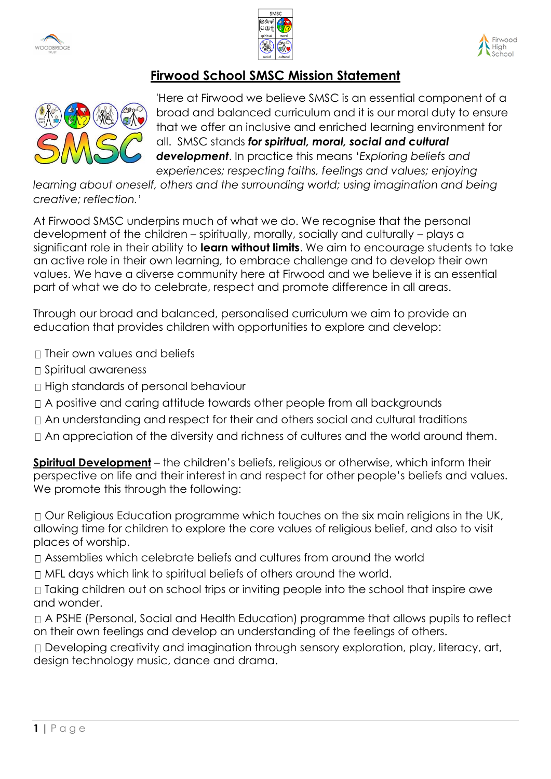





## **Firwood School SMSC Mission Statement**



'Here at Firwood we believe SMSC is an essential component of a broad and balanced curriculum and it is our moral duty to ensure that we offer an inclusive and enriched learning environment for all. SMSC stands *for spiritual, moral, social and cultural development*. In practice this means '*Exploring beliefs and experiences; respecting faiths, feelings and values; enjoying* 

learning about oneself, others and the surrounding world; using imagination and being *creative; reflection.'*

At Firwood SMSC underpins much of what we do. We recognise that the personal development of the children – spiritually, morally, socially and culturally – plays a significant role in their ability to **learn without limits**. We aim to encourage students to take an active role in their own learning, to embrace challenge and to develop their own values. We have a diverse community here at Firwood and we believe it is an essential part of what we do to celebrate, respect and promote difference in all areas.

Through our broad and balanced, personalised curriculum we aim to provide an education that provides children with opportunities to explore and develop:

 $\Box$  Their own values and beliefs

- □ Spiritual awareness
- □ High standards of personal behaviour
- A positive and caring attitude towards other people from all backgrounds
- An understanding and respect for their and others social and cultural traditions
- $\Box$  An appreciation of the diversity and richness of cultures and the world around them.

**Spiritual Development** – the children's beliefs, religious or otherwise, which inform their perspective on life and their interest in and respect for other people's beliefs and values. We promote this through the following:

□ Our Religious Education programme which touches on the six main religions in the UK, allowing time for children to explore the core values of religious belief, and also to visit places of worship.

- Assemblies which celebrate beliefs and cultures from around the world
- $\Box$  MFL days which link to spiritual beliefs of others around the world.

 $\Box$  Taking children out on school trips or inviting people into the school that inspire awe and wonder.

A PSHE (Personal, Social and Health Education) programme that allows pupils to reflect on their own feelings and develop an understanding of the feelings of others.

Developing creativity and imagination through sensory exploration, play, literacy, art, design technology music, dance and drama.